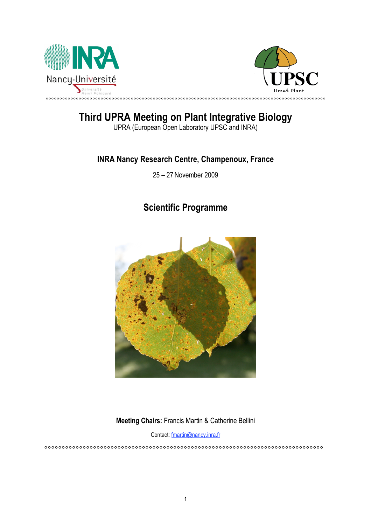



# **Third UPRA Meeting on Plant Integrative Biology**

UPRA (European Open Laboratory UPSC and INRA)

## **INRA Nancy Research Centre, Champenoux, France**

25 – 27 November 2009

# **Scientific Programme**



**Meeting Chairs:** Francis Martin & Catherine Bellini

Contact: fmartin@nancy.inra.fr °°°°°°°°°°°°°°°°°°°°°°°°°°°°°°°°°°°°°°°°°°°°°°°°°°°°°°°°°°°°°°°°°°°°°°°°°°°°°°°°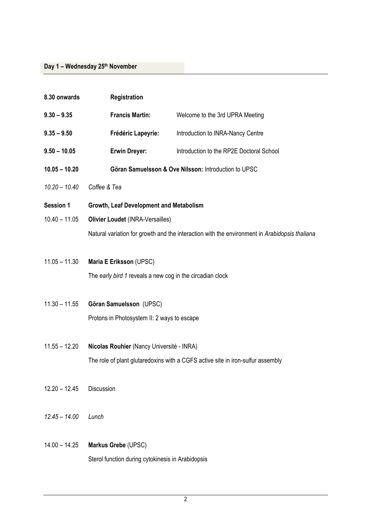| 8.30 onwards    | Registration                                              |                                                                                               |
|-----------------|-----------------------------------------------------------|-----------------------------------------------------------------------------------------------|
| $9.30 - 9.35$   | <b>Francis Martin:</b>                                    | Welcome to the 3rd UPRA Meeting                                                               |
| $9.35 - 9.50$   | Frédéric Lapeyrie:                                        | Introduction to INRA-Nancy Centre                                                             |
| $9.50 - 10.05$  | <b>Erwin Dreyer:</b>                                      | Introduction to the RP2E Doctoral School                                                      |
| $10.05 - 10.20$ | Göran Samuelsson & Ove Nilsson: Introduction to UPSC      |                                                                                               |
| $10.20 - 10.40$ | Coffee & Tea                                              |                                                                                               |
| Session 1       | Growth, Leaf Development and Metabolism                   |                                                                                               |
| $10.40 - 11.05$ | <b>Olivier Loudet (INRA-Versailles)</b>                   |                                                                                               |
|                 |                                                           | Natural variation for growth and the interaction with the environment in Arabidopsis thaliana |
| $11.05 - 11.30$ | Maria E Eriksson (UPSC)                                   |                                                                                               |
|                 | The early bird 1 reveals a new cog in the circadian clock |                                                                                               |
| $11.30 - 11.55$ | Göran Samuelsson (UPSC)                                   |                                                                                               |
|                 | Protons in Photosystem II: 2 ways to escape               |                                                                                               |
|                 |                                                           |                                                                                               |
| $11.55 - 12.20$ | Nicolas Rouhier (Nancy Université - INRA)                 |                                                                                               |
|                 |                                                           | The role of plant glutaredoxins with a CGFS active site in iron-sulfur assembly               |
| $12.20 - 12.45$ | <b>Discussion</b>                                         |                                                                                               |
|                 |                                                           |                                                                                               |
| $12.45 - 14.00$ | Lunch                                                     |                                                                                               |
| $14.00 - 14.25$ | Markus Grebe (UPSC)                                       |                                                                                               |
|                 |                                                           |                                                                                               |
|                 | Sterol function during cytokinesis in Arabidopsis         |                                                                                               |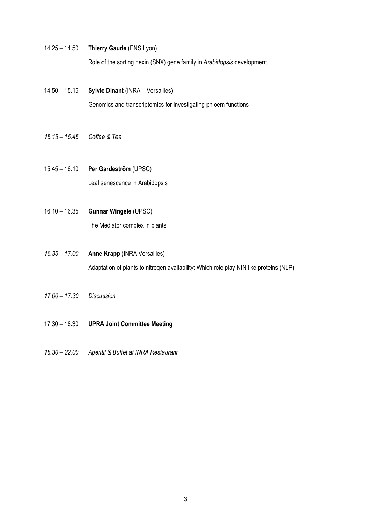- 14.25 14.50 **Thierry Gaude** (ENS Lyon) Role of the sorting nexin (SNX) gene family in *Arabidopsis* development
- 14.50 15.15 **Sylvie Dinant** (INRA Versailles) Genomics and transcriptomics for investigating phloem functions
- *15.15 15.45 Coffee & Tea*
- 15.45 16.10 **Per Gardeström** (UPSC) Leaf senescence in Arabidopsis
- 16.10 16.35 **Gunnar Wingsle** (UPSC) The Mediator complex in plants
- *16.35 17.00* **Anne Krapp** (INRA Versailles) Adaptation of plants to nitrogen availability: Which role play NIN like proteins (NLP)
- *17.00 17.30 Discussion*
- 17.30 18.30 **UPRA Joint Committee Meeting**
- *18.30 22.00 Apéritif & Buffet at INRA Restaurant*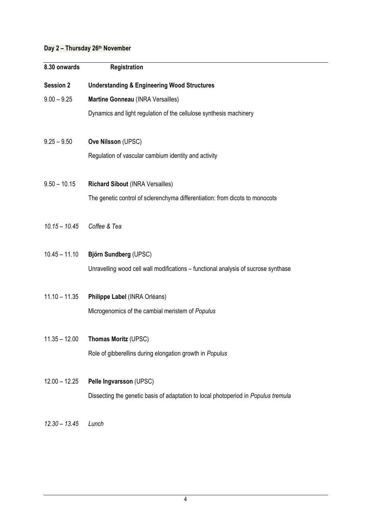## **Day 2 – Thursday 26th November**

| 8.30 onwards     | Registration                                                                       |  |
|------------------|------------------------------------------------------------------------------------|--|
| <b>Session 2</b> | <b>Understanding &amp; Engineering Wood Structures</b>                             |  |
| $9.00 - 9.25$    | Martine Gonneau (INRA Versailles)                                                  |  |
|                  | Dynamics and light regulation of the cellulose synthesis machinery                 |  |
| $9.25 - 9.50$    | Ove Nilsson (UPSC)                                                                 |  |
|                  | Regulation of vascular cambium identity and activity                               |  |
| $9.50 - 10.15$   | <b>Richard Sibout (INRA Versailles)</b>                                            |  |
|                  | The genetic control of sclerenchyma differentiation: from dicots to monocots       |  |
| $10.15 - 10.45$  | Coffee & Tea                                                                       |  |
| $10.45 - 11.10$  | Björn Sundberg (UPSC)                                                              |  |
|                  | Unravelling wood cell wall modifications - functional analysis of sucrose synthase |  |
| $11.10 - 11.35$  | Philippe Label (INRA Orléans)                                                      |  |
|                  | Microgenomics of the cambial meristem of Populus                                   |  |
| $11.35 - 12.00$  | Thomas Moritz (UPSC)                                                               |  |
|                  | Role of gibberellins during elongation growth in Populus                           |  |
| $12.00 - 12.25$  | Pelle Ingvarsson (UPSC)                                                            |  |
|                  | Dissecting the genetic basis of adaptation to local photoperiod in Populus tremula |  |
| $12.30 - 13.45$  | Lunch                                                                              |  |
|                  |                                                                                    |  |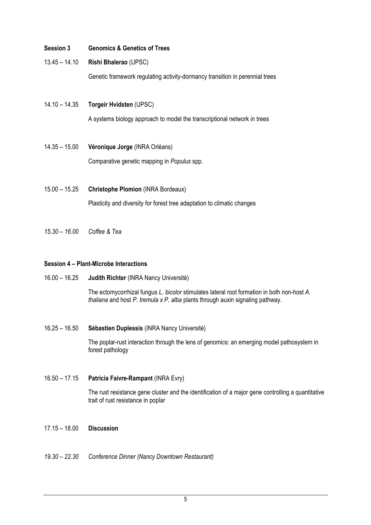#### **Session 3 Genomics & Genetics of Trees**

13.45 – 14.10 **Rishi Bhalerao** (UPSC)

Genetic framework regulating activity-dormancy transition in perennial trees

14.10 – 14.35 **Torgeir Hvidsten** (UPSC)

A systems biology approach to model the transcriptional network in trees

- 14.35 15.00 **Véronique Jorge** (INRA Orléans) Comparative genetic mapping in *Populus* spp.
- 15.00 15.25 **Christophe Plomion** (INRA Bordeaux) Plasticity and diversity for forest tree adaptation to climatic changes
- *15.30 16.00 Coffee & Tea*

#### **Session 4 – Plant-Microbe Interactions**

16.00 – 16.25 **Judith Richter** (INRA Nancy Université)

The ectomycorrhizal fungus *L. bicolor* stimulates lateral root formation in both non-host *A. thaliana* and host *P. tremula x P. alba* plants through auxin signaling pathway.

16.25 – 16.50 **Sébastien Duplessis** (INRA Nancy Université)

The poplar-rust interaction through the lens of genomics: an emerging model pathosystem in forest pathology

16.50 – 17.15 **Patricia Faivre-Rampant** (INRA Evry)

The rust resistance gene cluster and the identification of a major gene controlling a quantitative trait of rust resistance in poplar

- 17.15 18.00 **Discussion**
- *19.30 22.30 Conference Dinner (Nancy Downtown Restaurant)*